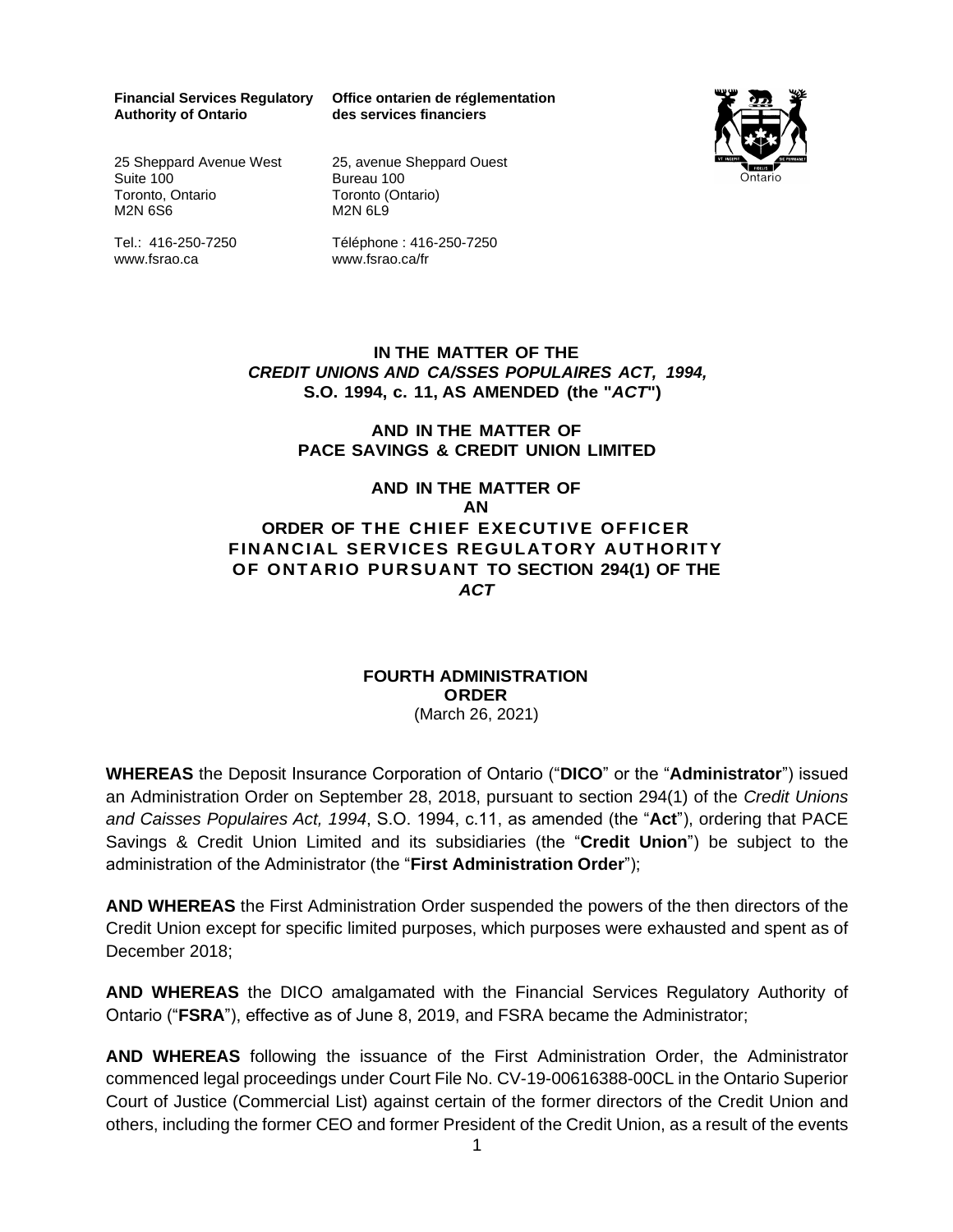**Authority of Ontario** 

**Financial Services Regulatory Office ontarien de réglementation des services financiers**



25 Sheppard Avenue West Suite 100 Toronto, Ontario M2N 6S6

Tel.: 416-250-7250 www.fsrao.ca

25, avenue Sheppard Ouest Bureau 100 Toronto (Ontario) M2N 6L9

Téléphone : 416-250-7250 www.fsrao.ca/fr

### **IN THE MATTER OF THE** *CREDIT UNIONS AND CA/SSES POPULAIRES ACT, 1994,* **S.O. 1994, c. 11, AS AMENDED (the "***ACT***")**

## **AND IN THE MATTER OF PACE SAVINGS & CREDIT UNION LIMITED**

## **AND IN THE MATTER OF AN ORDER OF THE CHIEF EXECUTIVE OFFICER FINANCIAL SERVICES REGULATORY AUTHORITY OF ONTARIO PURSUANT TO SECTION 294(1) OF THE** *ACT*

#### **FOURTH ADMINISTRATION ORDER** (March 26, 2021)

**WHEREAS** the Deposit Insurance Corporation of Ontario ("**DICO**" or the "**Administrator**") issued an Administration Order on September 28, 2018, pursuant to section 294(1) of the *Credit Unions and Caisses Populaires Act, 1994*, S.O. 1994, c.11, as amended (the "**Act**"), ordering that PACE Savings & Credit Union Limited and its subsidiaries (the "**Credit Union**") be subject to the administration of the Administrator (the "**First Administration Order**");

**AND WHEREAS** the First Administration Order suspended the powers of the then directors of the Credit Union except for specific limited purposes, which purposes were exhausted and spent as of December 2018;

**AND WHEREAS** the DICO amalgamated with the Financial Services Regulatory Authority of Ontario ("**FSRA**"), effective as of June 8, 2019, and FSRA became the Administrator;

**AND WHEREAS** following the issuance of the First Administration Order, the Administrator commenced legal proceedings under Court File No. CV-19-00616388-00CL in the Ontario Superior Court of Justice (Commercial List) against certain of the former directors of the Credit Union and others, including the former CEO and former President of the Credit Union, as a result of the events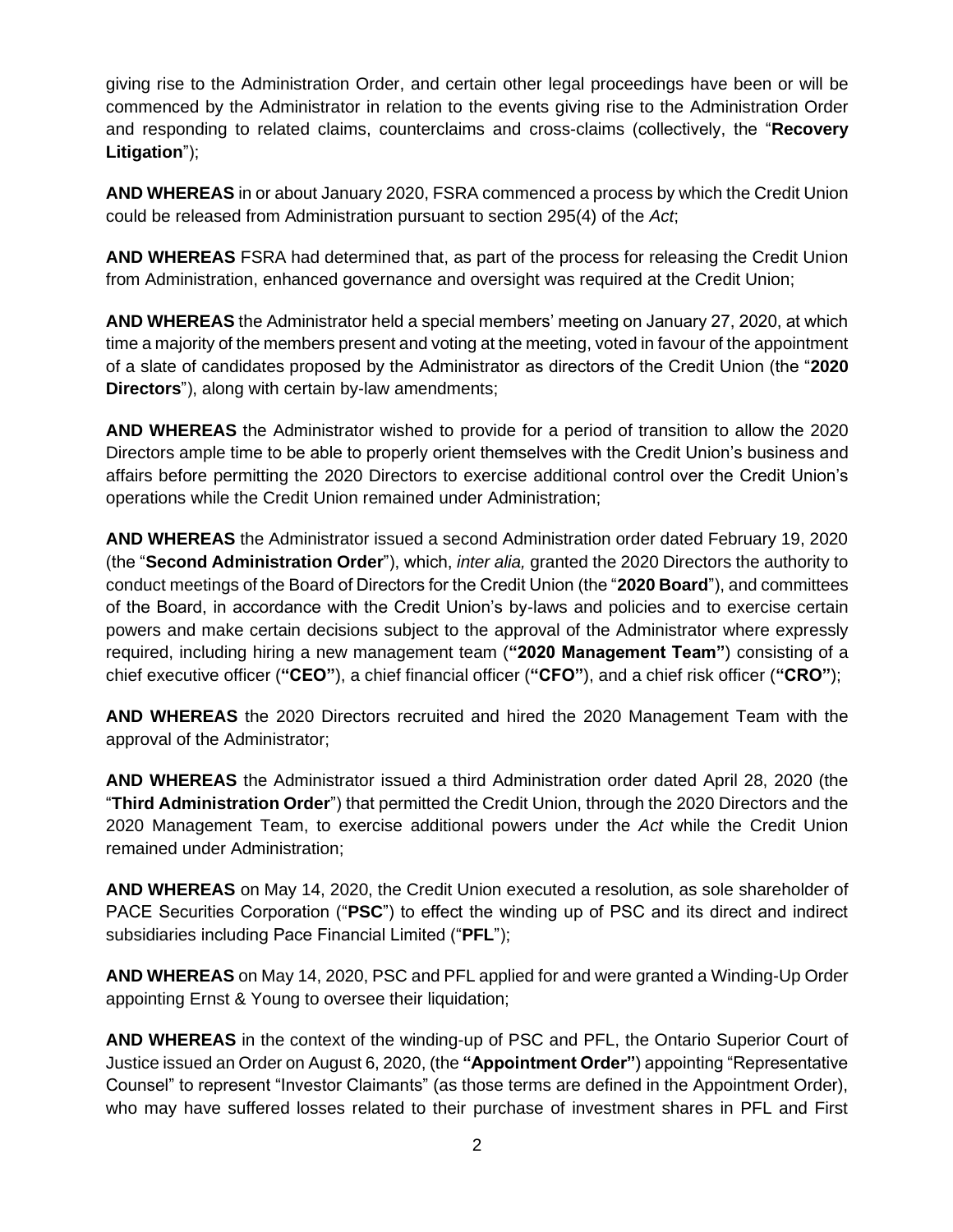giving rise to the Administration Order, and certain other legal proceedings have been or will be commenced by the Administrator in relation to the events giving rise to the Administration Order and responding to related claims, counterclaims and cross-claims (collectively, the "**Recovery Litigation**");

**AND WHEREAS** in or about January 2020, FSRA commenced a process by which the Credit Union could be released from Administration pursuant to section 295(4) of the *Act*;

**AND WHEREAS** FSRA had determined that, as part of the process for releasing the Credit Union from Administration, enhanced governance and oversight was required at the Credit Union;

**AND WHEREAS** the Administrator held a special members' meeting on January 27, 2020, at which time a majority of the members present and voting at the meeting, voted in favour of the appointment of a slate of candidates proposed by the Administrator as directors of the Credit Union (the "**2020 Directors**"), along with certain by-law amendments;

**AND WHEREAS** the Administrator wished to provide for a period of transition to allow the 2020 Directors ample time to be able to properly orient themselves with the Credit Union's business and affairs before permitting the 2020 Directors to exercise additional control over the Credit Union's operations while the Credit Union remained under Administration;

**AND WHEREAS** the Administrator issued a second Administration order dated February 19, 2020 (the "**Second Administration Order**"), which, *inter alia,* granted the 2020 Directors the authority to conduct meetings of the Board of Directors for the Credit Union (the "**2020 Board**"), and committees of the Board, in accordance with the Credit Union's by-laws and policies and to exercise certain powers and make certain decisions subject to the approval of the Administrator where expressly required, including hiring a new management team (**"2020 Management Team"**) consisting of a chief executive officer (**"CEO"**), a chief financial officer (**"CFO"**), and a chief risk officer (**"CRO"**);

**AND WHEREAS** the 2020 Directors recruited and hired the 2020 Management Team with the approval of the Administrator;

**AND WHEREAS** the Administrator issued a third Administration order dated April 28, 2020 (the "**Third Administration Order**") that permitted the Credit Union, through the 2020 Directors and the 2020 Management Team, to exercise additional powers under the *Act* while the Credit Union remained under Administration;

**AND WHEREAS** on May 14, 2020, the Credit Union executed a resolution, as sole shareholder of PACE Securities Corporation ("**PSC**") to effect the winding up of PSC and its direct and indirect subsidiaries including Pace Financial Limited ("**PFL**");

**AND WHEREAS** on May 14, 2020, PSC and PFL applied for and were granted a Winding-Up Order appointing Ernst & Young to oversee their liquidation;

**AND WHEREAS** in the context of the winding-up of PSC and PFL, the Ontario Superior Court of Justice issued an Order on August 6, 2020, (the **"Appointment Order"**) appointing "Representative Counsel" to represent "Investor Claimants" (as those terms are defined in the Appointment Order), who may have suffered losses related to their purchase of investment shares in PFL and First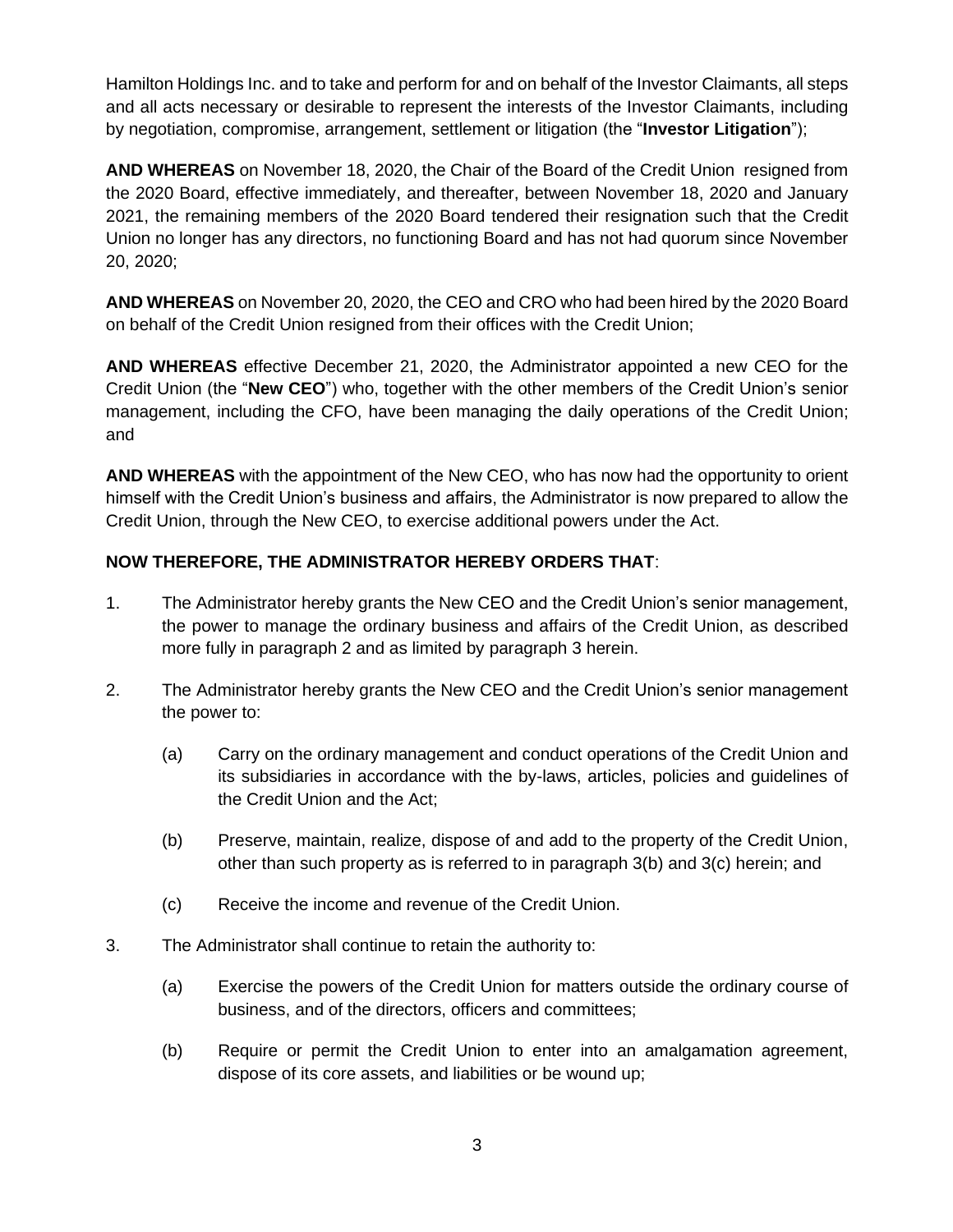Hamilton Holdings Inc. and to take and perform for and on behalf of the Investor Claimants, all steps and all acts necessary or desirable to represent the interests of the Investor Claimants, including by negotiation, compromise, arrangement, settlement or litigation (the "**Investor Litigation**");

**AND WHEREAS** on November 18, 2020, the Chair of the Board of the Credit Union resigned from the 2020 Board, effective immediately, and thereafter, between November 18, 2020 and January 2021, the remaining members of the 2020 Board tendered their resignation such that the Credit Union no longer has any directors, no functioning Board and has not had quorum since November 20, 2020;

**AND WHEREAS** on November 20, 2020, the CEO and CRO who had been hired by the 2020 Board on behalf of the Credit Union resigned from their offices with the Credit Union;

**AND WHEREAS** effective December 21, 2020, the Administrator appointed a new CEO for the Credit Union (the "**New CEO**") who, together with the other members of the Credit Union's senior management, including the CFO, have been managing the daily operations of the Credit Union; and

**AND WHEREAS** with the appointment of the New CEO, who has now had the opportunity to orient himself with the Credit Union's business and affairs, the Administrator is now prepared to allow the Credit Union, through the New CEO, to exercise additional powers under the Act.

# **NOW THEREFORE, THE ADMINISTRATOR HEREBY ORDERS THAT**:

- 1. The Administrator hereby grants the New CEO and the Credit Union's senior management, the power to manage the ordinary business and affairs of the Credit Union, as described more fully in paragraph 2 and as limited by paragraph 3 herein.
- 2. The Administrator hereby grants the New CEO and the Credit Union's senior management the power to:
	- (a) Carry on the ordinary management and conduct operations of the Credit Union and its subsidiaries in accordance with the by-laws, articles, policies and guidelines of the Credit Union and the Act;
	- (b) Preserve, maintain, realize, dispose of and add to the property of the Credit Union, other than such property as is referred to in paragraph 3(b) and 3(c) herein; and
	- (c) Receive the income and revenue of the Credit Union.
- 3. The Administrator shall continue to retain the authority to:
	- (a) Exercise the powers of the Credit Union for matters outside the ordinary course of business, and of the directors, officers and committees;
	- (b) Require or permit the Credit Union to enter into an amalgamation agreement, dispose of its core assets, and liabilities or be wound up;